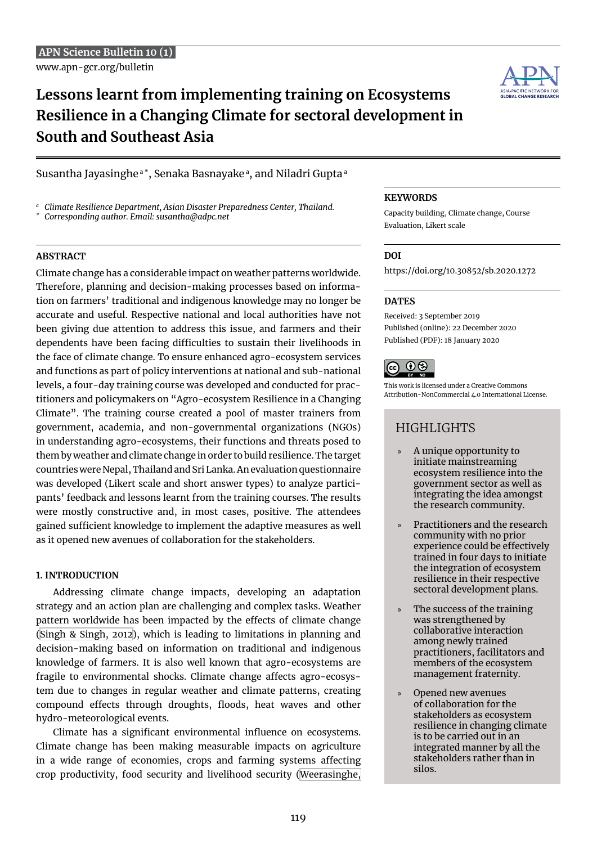**Lessons learnt from implementing training on Ecosystems Resilience in a Changing Climate for sectoral development in South and Southeast Asia**



*<sup>a</sup> Climate Resilience Department, Asian Disaster Preparedness Center, Thailand.*

*\* Corresponding author. Email: [susantha@adpc.net](mailto:susantha@adpc.net)*

### **Abstract**

Climate change has a considerable impact on weather patterns worldwide. Therefore, planning and decision-making processes based on information on farmers' traditional and indigenous knowledge may no longer be accurate and useful. Respective national and local authorities have not been giving due attention to address this issue, and farmers and their dependents have been facing difficulties to sustain their livelihoods in the face of climate change. To ensure enhanced agro-ecosystem services and functions as part of policy interventions at national and sub-national levels, a four-day training course was developed and conducted for practitioners and policymakers on "Agro-ecosystem Resilience in a Changing Climate". The training course created a pool of master trainers from government, academia, and non-governmental organizations (NGOs) in understanding agro-ecosystems, their functions and threats posed to them by weather and climate change in order to build resilience. The target countries were Nepal, Thailand and Sri Lanka. An evaluation questionnaire was developed (Likert scale and short answer types) to analyze participants' feedback and lessons learnt from the training courses. The results were mostly constructive and, in most cases, positive. The attendees gained sufficient knowledge to implement the adaptive measures as well as it opened new avenues of collaboration for the stakeholders.

# **1. INTRODUCTION**

Addressing climate change impacts, developing an adaptation strategy and an action plan are challenging and complex tasks. Weather pattern worldwide has been impacted by the effects of climate change ([Singh & Singh, 2012](#page-6-0)), which is leading to limitations in planning and decision-making based on information on traditional and indigenous knowledge of farmers. It is also well known that agro-ecosystems are fragile to environmental shocks. Climate change affects agro-ecosystem due to changes in regular weather and climate patterns, creating compound effects through droughts, floods, heat waves and other hydro-meteorological events.

Climate has a significant environmental influence on ecosystems. Climate change has been making measurable impacts on agriculture in a wide range of economies, crops and farming systems affecting crop productivity, food security and livelihood security [\(Weerasinghe,](#page-6-1) 

### **Keywords**

Capacity building, Climate change, Course Evaluation, Likert scale

## **DOI**

[https://doi.org/10.30852/sb.2020.127](https://doi.org/10.30852/sb.2020.1272)2

## **DATES**

Received: 3 September 2019 Published (online): 22 December 2020 Published (PDF): 18 January 2020

$$
\bigodot_{\text{BV}} \bigodot_{\text{HV}} \bigodot_{\text{NLO}}
$$

This work is licensed under a Creative Commons Attribution-NonCommercial 4.0 International License.

# **HIGHLIGHTS**

- » A unique opportunity to initiate mainstreaming ecosystem resilience into the government sector as well as integrating the idea amongst the research community.
- » Practitioners and the research community with no prior experience could be effectively trained in four days to initiate the integration of ecosystem resilience in their respective sectoral development plans.
- The success of the training was strengthened by collaborative interaction among newly trained practitioners, facilitators and members of the ecosystem management fraternity.
- » Opened new avenues of collaboration for the stakeholders as ecosystem resilience in changing climate is to be carried out in an integrated manner by all the stakeholders rather than in silos.

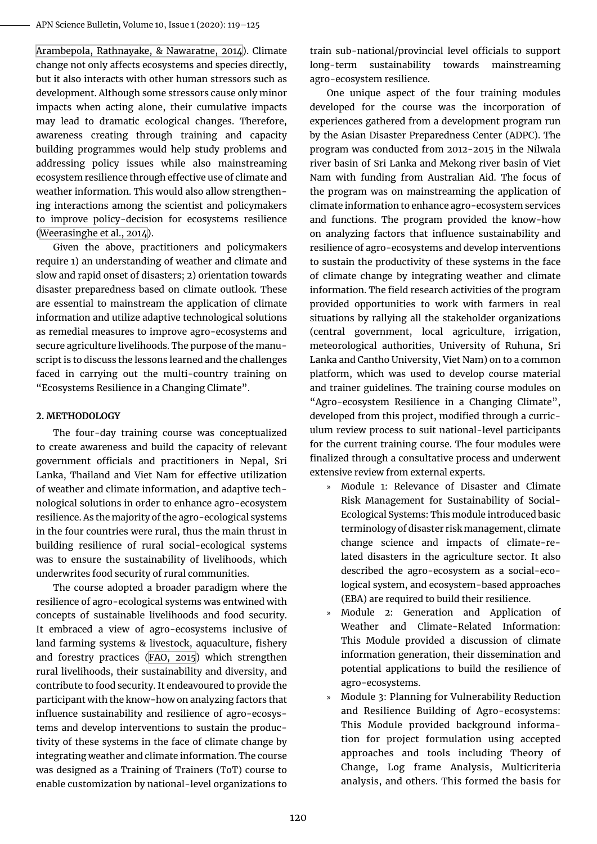[Arambepola, Rathnayake, & Nawaratne, 2014](#page-6-1)). Climate change not only affects ecosystems and species directly, but it also interacts with other human stressors such as development. Although some stressors cause only minor impacts when acting alone, their cumulative impacts may lead to dramatic ecological changes. Therefore, awareness creating through training and capacity building programmes would help study problems and addressing policy issues while also mainstreaming ecosystem resilience through effective use of climate and weather information. This would also allow strengthening interactions among the scientist and policymakers to improve policy-decision for ecosystems resilience ([Weerasinghe et al., 2014\)](#page-6-1).

Given the above, practitioners and policymakers require 1) an understanding of weather and climate and slow and rapid onset of disasters; 2) orientation towards disaster preparedness based on climate outlook. These are essential to mainstream the application of climate information and utilize adaptive technological solutions as remedial measures to improve agro-ecosystems and secure agriculture livelihoods. The purpose of the manuscript is to discuss the lessons learned and the challenges faced in carrying out the multi-country training on "Ecosystems Resilience in a Changing Climate".

## **2. Methodology**

The four-day training course was conceptualized to create awareness and build the capacity of relevant government officials and practitioners in Nepal, Sri Lanka, Thailand and Viet Nam for effective utilization of weather and climate information, and adaptive technological solutions in order to enhance agro-ecosystem resilience. As the majority of the agro-ecological systems in the four countries were rural, thus the main thrust in building resilience of rural social-ecological systems was to ensure the sustainability of livelihoods, which underwrites food security of rural communities.

The course adopted a broader paradigm where the resilience of agro-ecological systems was entwined with concepts of sustainable livelihoods and food security. It embraced a view of agro-ecosystems inclusive of land farming systems & livestock, aquaculture, fishery and forestry practices [\(FAO, 2015\)](#page-6-2) which strengthen rural livelihoods, their sustainability and diversity, and contribute to food security. It endeavoured to provide the participant with the know-how on analyzing factors that influence sustainability and resilience of agro-ecosystems and develop interventions to sustain the productivity of these systems in the face of climate change by integrating weather and climate information. The course was designed as a Training of Trainers (ToT) course to enable customization by national-level organizations to

train sub-national/provincial level officials to support long-term sustainability towards mainstreaming agro-ecosystem resilience.

One unique aspect of the four training modules developed for the course was the incorporation of experiences gathered from a development program run by the Asian Disaster Preparedness Center (ADPC). The program was conducted from 2012-2015 in the Nilwala river basin of Sri Lanka and Mekong river basin of Viet Nam with funding from Australian Aid. The focus of the program was on mainstreaming the application of climate information to enhance agro-ecosystem services and functions. The program provided the know-how on analyzing factors that influence sustainability and resilience of agro-ecosystems and develop interventions to sustain the productivity of these systems in the face of climate change by integrating weather and climate information. The field research activities of the program provided opportunities to work with farmers in real situations by rallying all the stakeholder organizations (central government, local agriculture, irrigation, meteorological authorities, University of Ruhuna, Sri Lanka and Cantho University, Viet Nam) on to a common platform, which was used to develop course material and trainer guidelines. The training course modules on "Agro-ecosystem Resilience in a Changing Climate", developed from this project, modified through a curriculum review process to suit national-level participants for the current training course. The four modules were finalized through a consultative process and underwent extensive review from external experts.

- » Module 1: Relevance of Disaster and Climate Risk Management for Sustainability of Social-Ecological Systems: This module introduced basic terminology of disaster risk management, climate change science and impacts of climate-related disasters in the agriculture sector. It also described the agro-ecosystem as a social-ecological system, and ecosystem-based approaches (EBA) are required to build their resilience.
- » Module 2: Generation and Application of Weather and Climate-Related Information: This Module provided a discussion of climate information generation, their dissemination and potential applications to build the resilience of agro-ecosystems.
- » Module 3: Planning for Vulnerability Reduction and Resilience Building of Agro-ecosystems: This Module provided background information for project formulation using accepted approaches and tools including Theory of Change, Log frame Analysis, Multicriteria analysis, and others. This formed the basis for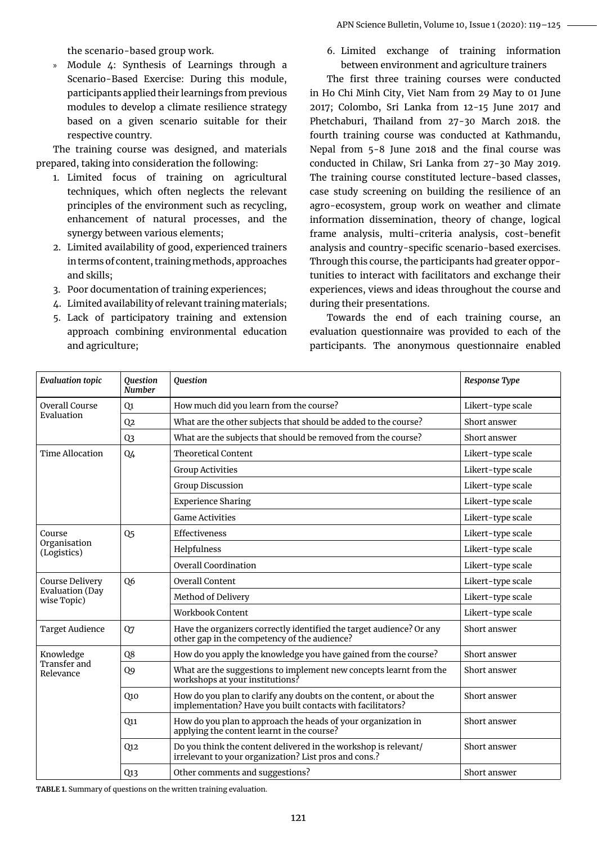the scenario-based group work.

» Module 4: Synthesis of Learnings through a Scenario-Based Exercise: During this module, participants applied their learnings from previous modules to develop a climate resilience strategy based on a given scenario suitable for their respective country.

The training course was designed, and materials prepared, taking into consideration the following:

- 1. Limited focus of training on agricultural techniques, which often neglects the relevant principles of the environment such as recycling, enhancement of natural processes, and the synergy between various elements;
- 2. Limited availability of good, experienced trainers in terms of content, training methods, approaches and skills;
- 3. Poor documentation of training experiences;
- 4. Limited availability of relevant training materials;
- 5. Lack of participatory training and extension approach combining environmental education and agriculture;

6. Limited exchange of training information between environment and agriculture trainers

The first three training courses were conducted in Ho Chi Minh City, Viet Nam from 29 May to 01 June 2017; Colombo, Sri Lanka from 12-15 June 2017 and Phetchaburi, Thailand from 27-30 March 2018. the fourth training course was conducted at Kathmandu, Nepal from 5-8 June 2018 and the final course was conducted in Chilaw, Sri Lanka from 27-30 May 2019. The training course constituted lecture-based classes, case study screening on building the resilience of an agro-ecosystem, group work on weather and climate information dissemination, theory of change, logical frame analysis, multi-criteria analysis, cost-benefit analysis and country-specific scenario-based exercises. Through this course, the participants had greater opportunities to interact with facilitators and exchange their experiences, views and ideas throughout the course and during their presentations.

Towards the end of each training course, an evaluation questionnaire was provided to each of the participants. The anonymous questionnaire enabled

| <b>Evaluation topic</b>                           | Question<br><b>Number</b> | Question                                                                                                                         | Response Type     |
|---------------------------------------------------|---------------------------|----------------------------------------------------------------------------------------------------------------------------------|-------------------|
| Overall Course<br>Evaluation                      | Q1                        | How much did you learn from the course?                                                                                          | Likert-type scale |
|                                                   | Q2                        | What are the other subjects that should be added to the course?                                                                  | Short answer      |
|                                                   | Q <sub>3</sub>            | What are the subjects that should be removed from the course?                                                                    | Short answer      |
| <b>Time Allocation</b>                            | Q4                        | <b>Theoretical Content</b>                                                                                                       | Likert-type scale |
|                                                   |                           | <b>Group Activities</b>                                                                                                          | Likert-type scale |
|                                                   |                           | <b>Group Discussion</b>                                                                                                          | Likert-type scale |
|                                                   |                           | <b>Experience Sharing</b>                                                                                                        | Likert-type scale |
|                                                   |                           | <b>Game Activities</b>                                                                                                           | Likert-type scale |
| Course<br>Organisation<br>(Logistics)             | Q <sub>5</sub>            | Effectiveness                                                                                                                    | Likert-type scale |
|                                                   |                           | Helpfulness                                                                                                                      | Likert-type scale |
|                                                   |                           | <b>Overall Coordination</b>                                                                                                      | Likert-type scale |
| Course Delivery<br>Evaluation (Day<br>wise Topic) | Q <sub>6</sub>            | <b>Overall Content</b>                                                                                                           | Likert-type scale |
|                                                   |                           | Method of Delivery                                                                                                               | Likert-type scale |
|                                                   |                           | Workbook Content                                                                                                                 | Likert-type scale |
| <b>Target Audience</b>                            | Q7                        | Have the organizers correctly identified the target audience? Or any<br>other gap in the competency of the audience?             | Short answer      |
| Knowledge<br>Transfer and<br>Relevance            | Q8                        | How do you apply the knowledge you have gained from the course?                                                                  | Short answer      |
|                                                   | Q9                        | What are the suggestions to implement new concepts learnt from the<br>workshops at your institutions?                            | Short answer      |
|                                                   | Q10                       | How do you plan to clarify any doubts on the content, or about the<br>implementation? Have you built contacts with facilitators? | Short answer      |
|                                                   | Q11                       | How do you plan to approach the heads of your organization in<br>applying the content learnt in the course?                      | Short answer      |
|                                                   | Q12                       | Do you think the content delivered in the workshop is relevant/<br>irrelevant to your organization? List pros and cons.?         | Short answer      |
|                                                   | Q <sub>13</sub>           | Other comments and suggestions?                                                                                                  | Short answer      |

**Table 1.** Summary of questions on the written training evaluation.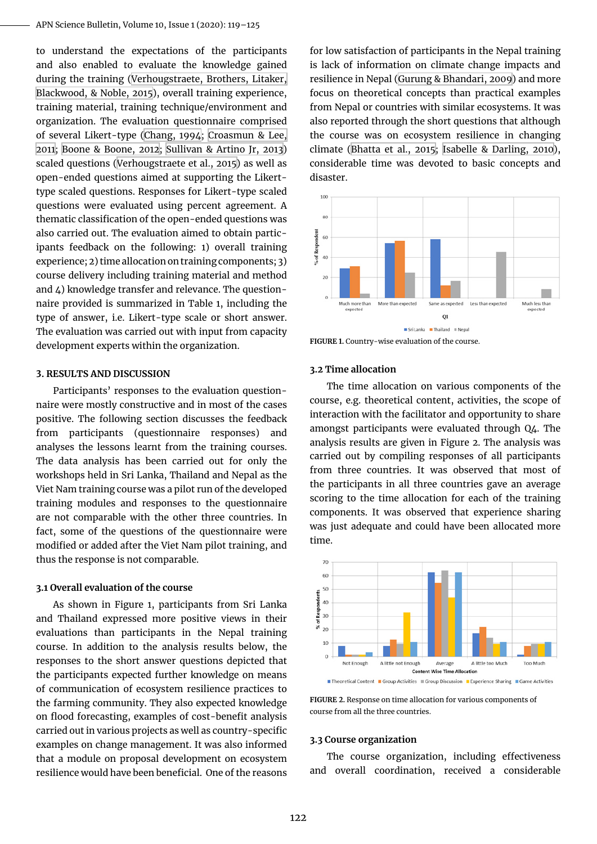to understand the expectations of the participants and also enabled to evaluate the knowledge gained during the training [\(Verhougstraete, Brothers, Litaker,](#page-6-3) [Blackwood, & Noble, 2015](#page-6-3)), overall training experience, training material, training technique/environment and organization. The evaluation questionnaire comprised of several Likert-type ([Chang, 1994;](#page-6-4) [Croasmun & Lee,](#page-6-5) [2011](#page-6-5); [Boone & Boone, 2012](#page-6-6); [Sullivan & Artino Jr, 2013](#page-6-7)) scaled questions ([Verhougstraete et al., 2015](#page-6-3)) as well as open-ended questions aimed at supporting the Likerttype scaled questions. Responses for Likert-type scaled questions were evaluated using percent agreement. A thematic classification of the open-ended questions was also carried out. The evaluation aimed to obtain participants feedback on the following: 1) overall training experience; 2) time allocation on training components; 3) course delivery including training material and method and 4) knowledge transfer and relevance. The questionnaire provided is summarized in Table 1, including the type of answer, i.e. Likert-type scale or short answer. The evaluation was carried out with input from capacity development experts within the organization.

#### **3. Results and discussion**

Participants' responses to the evaluation questionnaire were mostly constructive and in most of the cases positive. The following section discusses the feedback from participants (questionnaire responses) and analyses the lessons learnt from the training courses. The data analysis has been carried out for only the workshops held in Sri Lanka, Thailand and Nepal as the Viet Nam training course was a pilot run of the developed training modules and responses to the questionnaire are not comparable with the other three countries. In fact, some of the questions of the questionnaire were modified or added after the Viet Nam pilot training, and thus the response is not comparable.

#### **3.1 Overall evaluation of the course**

As shown in Figure 1, participants from Sri Lanka and Thailand expressed more positive views in their evaluations than participants in the Nepal training course. In addition to the analysis results below, the responses to the short answer questions depicted that the participants expected further knowledge on means of communication of ecosystem resilience practices to the farming community. They also expected knowledge on flood forecasting, examples of cost-benefit analysis carried out in various projects as well as country-specific examples on change management. It was also informed that a module on proposal development on ecosystem resilience would have been beneficial. One of the reasons

for low satisfaction of participants in the Nepal training is lack of information on climate change impacts and resilience in Nepal [\(Gurung & Bhandari, 2009\)](#page-6-8) and more focus on theoretical concepts than practical examples from Nepal or countries with similar ecosystems. It was also reported through the short questions that although the course was on ecosystem resilience in changing climate [\(Bhatta et al., 2015](#page-6-9); [Isabelle & Darling, 2010](#page-6-10)), considerable time was devoted to basic concepts and disaster.



**Figure 1.** Country-wise evaluation of the course.

#### **3.2 Time allocation**

The time allocation on various components of the course, e.g. theoretical content, activities, the scope of interaction with the facilitator and opportunity to share amongst participants were evaluated through Q4. The analysis results are given in Figure 2. The analysis was carried out by compiling responses of all participants from three countries. It was observed that most of the participants in all three countries gave an average scoring to the time allocation for each of the training components. It was observed that experience sharing was just adequate and could have been allocated more time.



**Figure 2.** Response on time allocation for various components of course from all the three countries.

#### **3.3 Course organization**

The course organization, including effectiveness and overall coordination, received a considerable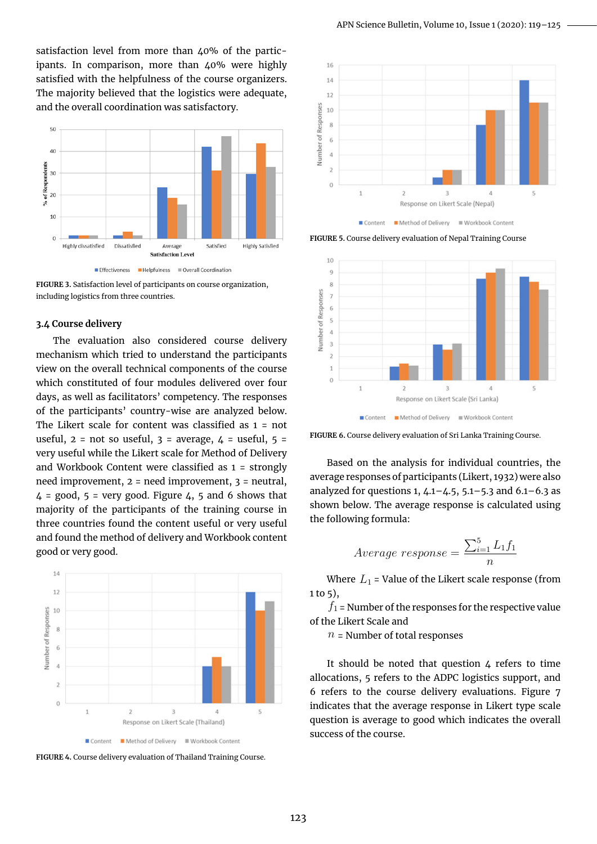satisfaction level from more than  $\mu$ 0% of the participants. In comparison, more than 40% were highly satisfied with the helpfulness of the course organizers. The majority believed that the logistics were adequate, and the overall coordination was satisfactory.



**Figure 3.** Satisfaction level of participants on course organization, including logistics from three countries.

### **3.4 Course delivery**

The evaluation also considered course delivery mechanism which tried to understand the participants view on the overall technical components of the course which constituted of four modules delivered over four days, as well as facilitators' competency. The responses of the participants' country-wise are analyzed below. The Likert scale for content was classified as 1 = not useful,  $2 = not so useful, 3 = average, 4 = useful, 5 =$ very useful while the Likert scale for Method of Delivery and Workbook Content were classified as 1 = strongly need improvement, 2 = need improvement, 3 = neutral,  $4 = \text{good}, 5 = \text{very good}.$  Figure 4, 5 and 6 shows that majority of the participants of the training course in three countries found the content useful or very useful and found the method of delivery and Workbook content good or very good.



**Figure 4.** Course delivery evaluation of Thailand Training Course.



Content 

**Figure 5.** Course delivery evaluation of Nepal Training Course



**Figure 6.** Course delivery evaluation of Sri Lanka Training Course.

Based on the analysis for individual countries, the average responses of participants (Likert, 1932) were also analyzed for questions 1,  $4.1 - 4.5$ ,  $5.1 - 5.3$  and  $6.1 - 6.3$  as shown below. The average response is calculated using the following formula:

$$
Average response = \frac{\sum_{i=1}^{5} L_1 f_1}{n}
$$

Where  $L_1$  = Value of the Likert scale response (from  $1$  to  $5$ ),

 $f_1$  = Number of the responses for the respective value of the Likert Scale and

 $n =$  Number of total responses

It should be noted that question  $4$  refers to time allocations, 5 refers to the ADPC logistics support, and 6 refers to the course delivery evaluations. Figure 7 indicates that the average response in Likert type scale question is average to good which indicates the overall success of the course.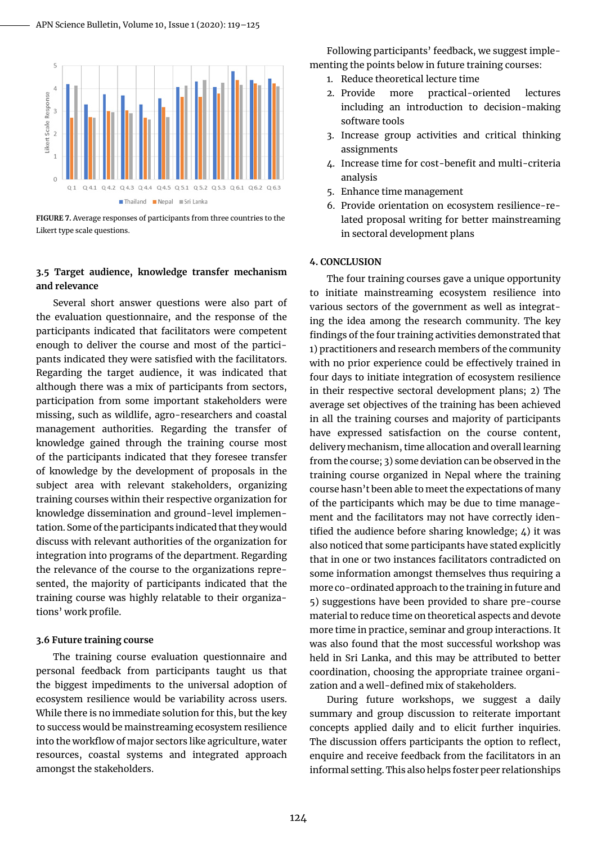

**Figure 7.** Average responses of participants from three countries to the Likert type scale questions.

## **3.5 Target audience, knowledge transfer mechanism and relevance**

Several short answer questions were also part of the evaluation questionnaire, and the response of the participants indicated that facilitators were competent enough to deliver the course and most of the participants indicated they were satisfied with the facilitators. Regarding the target audience, it was indicated that although there was a mix of participants from sectors, participation from some important stakeholders were missing, such as wildlife, agro-researchers and coastal management authorities. Regarding the transfer of knowledge gained through the training course most of the participants indicated that they foresee transfer of knowledge by the development of proposals in the subject area with relevant stakeholders, organizing training courses within their respective organization for knowledge dissemination and ground-level implementation. Some of the participants indicated that they would discuss with relevant authorities of the organization for integration into programs of the department. Regarding the relevance of the course to the organizations represented, the majority of participants indicated that the training course was highly relatable to their organizations' work profile.

#### **3.6 Future training course**

The training course evaluation questionnaire and personal feedback from participants taught us that the biggest impediments to the universal adoption of ecosystem resilience would be variability across users. While there is no immediate solution for this, but the key to success would be mainstreaming ecosystem resilience into the workflow of major sectors like agriculture, water resources, coastal systems and integrated approach amongst the stakeholders.

Following participants' feedback, we suggest implementing the points below in future training courses:

- 1. Reduce theoretical lecture time
- 2. Provide more practical-oriented lectures including an introduction to decision-making software tools
- 3. Increase group activities and critical thinking assignments
- 4. Increase time for cost-benefit and multi-criteria analysis
- 5. Enhance time management
- 6. Provide orientation on ecosystem resilience-related proposal writing for better mainstreaming in sectoral development plans

#### **4. Conclusion**

The four training courses gave a unique opportunity to initiate mainstreaming ecosystem resilience into various sectors of the government as well as integrating the idea among the research community. The key findings of the four training activities demonstrated that 1) practitioners and research members of the community with no prior experience could be effectively trained in four days to initiate integration of ecosystem resilience in their respective sectoral development plans; 2) The average set objectives of the training has been achieved in all the training courses and majority of participants have expressed satisfaction on the course content, delivery mechanism, time allocation and overall learning from the course; 3) some deviation can be observed in the training course organized in Nepal where the training course hasn't been able to meet the expectations of many of the participants which may be due to time management and the facilitators may not have correctly identified the audience before sharing knowledge; 4) it was also noticed that some participants have stated explicitly that in one or two instances facilitators contradicted on some information amongst themselves thus requiring a more co-ordinated approach to the training in future and 5) suggestions have been provided to share pre-course material to reduce time on theoretical aspects and devote more time in practice, seminar and group interactions. It was also found that the most successful workshop was held in Sri Lanka, and this may be attributed to better coordination, choosing the appropriate trainee organization and a well-defined mix of stakeholders.

During future workshops, we suggest a daily summary and group discussion to reiterate important concepts applied daily and to elicit further inquiries. The discussion offers participants the option to reflect, enquire and receive feedback from the facilitators in an informal setting. This also helps foster peer relationships